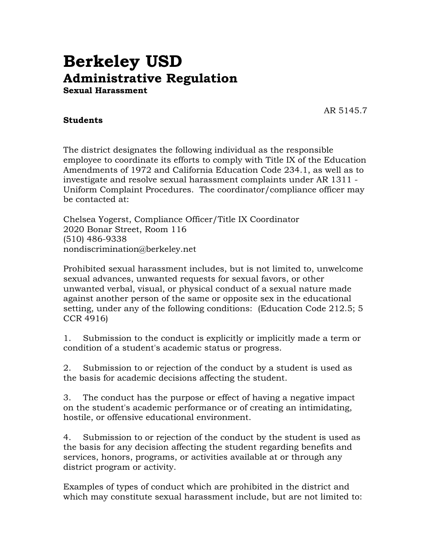## **Berkeley USD Administrative Regulation Sexual Harassment**

AR 5145.7

## **Students**

The district designates the following individual as the responsible employee to coordinate its efforts to comply with Title IX of the Education Amendments of 1972 and California Education Code 234.1, as well as to investigate and resolve sexual harassment complaints under AR 1311 - Uniform Complaint Procedures. The coordinator/compliance officer may be contacted at:

Chelsea Yogerst, Compliance Officer/Title IX Coordinator 2020 Bonar Street, Room 116 (510) 486-9338 nondiscrimination@berkeley.net

Prohibited sexual harassment includes, but is not limited to, unwelcome sexual advances, unwanted requests for sexual favors, or other unwanted verbal, visual, or physical conduct of a sexual nature made against another person of the same or opposite sex in the educational setting, under any of the following conditions: (Education Code 212.5; 5 CCR 4916)

1. Submission to the conduct is explicitly or implicitly made a term or condition of a student's academic status or progress.

2. Submission to or rejection of the conduct by a student is used as the basis for academic decisions affecting the student.

3. The conduct has the purpose or effect of having a negative impact on the student's academic performance or of creating an intimidating, hostile, or offensive educational environment.

4. Submission to or rejection of the conduct by the student is used as the basis for any decision affecting the student regarding benefits and services, honors, programs, or activities available at or through any district program or activity.

Examples of types of conduct which are prohibited in the district and which may constitute sexual harassment include, but are not limited to: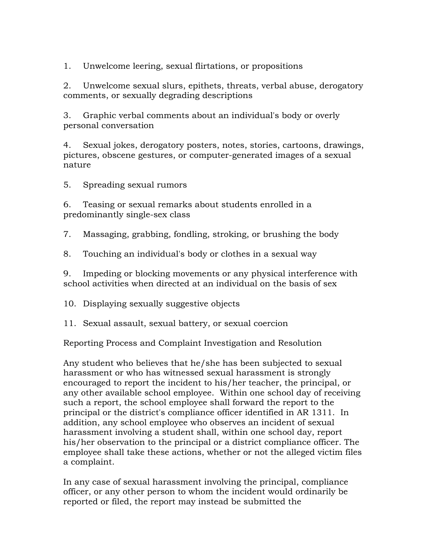1. Unwelcome leering, sexual flirtations, or propositions

2. Unwelcome sexual slurs, epithets, threats, verbal abuse, derogatory comments, or sexually degrading descriptions

3. Graphic verbal comments about an individual's body or overly personal conversation

4. Sexual jokes, derogatory posters, notes, stories, cartoons, drawings, pictures, obscene gestures, or computer-generated images of a sexual nature

5. Spreading sexual rumors

6. Teasing or sexual remarks about students enrolled in a predominantly single-sex class

7. Massaging, grabbing, fondling, stroking, or brushing the body

8. Touching an individual's body or clothes in a sexual way

9. Impeding or blocking movements or any physical interference with school activities when directed at an individual on the basis of sex

10. Displaying sexually suggestive objects

11. Sexual assault, sexual battery, or sexual coercion

Reporting Process and Complaint Investigation and Resolution

Any student who believes that he/she has been subjected to sexual harassment or who has witnessed sexual harassment is strongly encouraged to report the incident to his/her teacher, the principal, or any other available school employee. Within one school day of receiving such a report, the school employee shall forward the report to the principal or the district's compliance officer identified in AR 1311. In addition, any school employee who observes an incident of sexual harassment involving a student shall, within one school day, report his/her observation to the principal or a district compliance officer. The employee shall take these actions, whether or not the alleged victim files a complaint.

In any case of sexual harassment involving the principal, compliance officer, or any other person to whom the incident would ordinarily be reported or filed, the report may instead be submitted the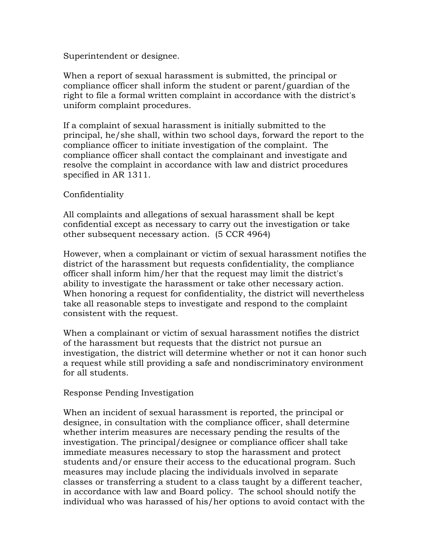Superintendent or designee.

When a report of sexual harassment is submitted, the principal or compliance officer shall inform the student or parent/guardian of the right to file a formal written complaint in accordance with the district's uniform complaint procedures.

If a complaint of sexual harassment is initially submitted to the principal, he/she shall, within two school days, forward the report to the compliance officer to initiate investigation of the complaint. The compliance officer shall contact the complainant and investigate and resolve the complaint in accordance with law and district procedures specified in AR 1311.

## Confidentiality

All complaints and allegations of sexual harassment shall be kept confidential except as necessary to carry out the investigation or take other subsequent necessary action. (5 CCR 4964)

However, when a complainant or victim of sexual harassment notifies the district of the harassment but requests confidentiality, the compliance officer shall inform him/her that the request may limit the district's ability to investigate the harassment or take other necessary action. When honoring a request for confidentiality, the district will nevertheless take all reasonable steps to investigate and respond to the complaint consistent with the request.

When a complainant or victim of sexual harassment notifies the district of the harassment but requests that the district not pursue an investigation, the district will determine whether or not it can honor such a request while still providing a safe and nondiscriminatory environment for all students.

Response Pending Investigation

When an incident of sexual harassment is reported, the principal or designee, in consultation with the compliance officer, shall determine whether interim measures are necessary pending the results of the investigation. The principal/designee or compliance officer shall take immediate measures necessary to stop the harassment and protect students and/or ensure their access to the educational program. Such measures may include placing the individuals involved in separate classes or transferring a student to a class taught by a different teacher, in accordance with law and Board policy. The school should notify the individual who was harassed of his/her options to avoid contact with the